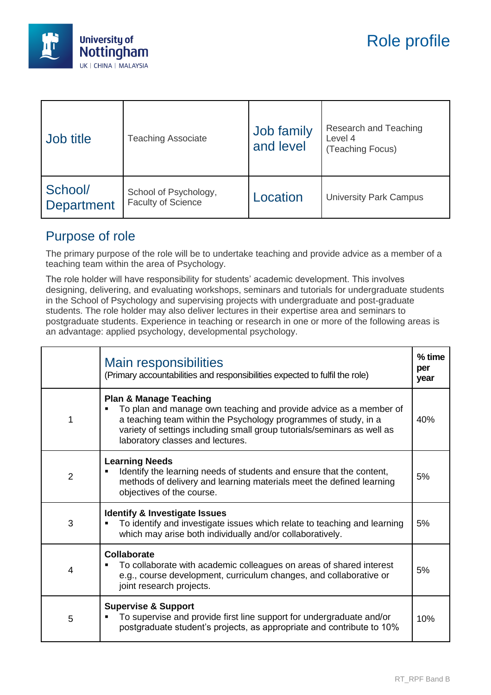

| Job title                    | <b>Teaching Associate</b>                          | Job family<br>and level | Research and Teaching<br>Level 4<br>(Teaching Focus) |
|------------------------------|----------------------------------------------------|-------------------------|------------------------------------------------------|
| School/<br><b>Department</b> | School of Psychology,<br><b>Faculty of Science</b> | Location                | <b>University Park Campus</b>                        |

## Purpose of role

The primary purpose of the role will be to undertake teaching and provide advice as a member of a teaching team within the area of Psychology.

The role holder will have responsibility for students' academic development. This involves designing, delivering, and evaluating workshops, seminars and tutorials for undergraduate students in the School of Psychology and supervising projects with undergraduate and post-graduate students. The role holder may also deliver lectures in their expertise area and seminars to postgraduate students. Experience in teaching or research in one or more of the following areas is an advantage: applied psychology, developmental psychology.

|                | <b>Main responsibilities</b><br>(Primary accountabilities and responsibilities expected to fulfil the role)                                                                                                                                                                              | % time<br>per<br>year |
|----------------|------------------------------------------------------------------------------------------------------------------------------------------------------------------------------------------------------------------------------------------------------------------------------------------|-----------------------|
| 1              | <b>Plan &amp; Manage Teaching</b><br>To plan and manage own teaching and provide advice as a member of<br>a teaching team within the Psychology programmes of study, in a<br>variety of settings including small group tutorials/seminars as well as<br>laboratory classes and lectures. | 40%                   |
| 2              | <b>Learning Needs</b><br>Identify the learning needs of students and ensure that the content,<br>methods of delivery and learning materials meet the defined learning<br>objectives of the course.                                                                                       | 5%                    |
| 3              | <b>Identify &amp; Investigate Issues</b><br>To identify and investigate issues which relate to teaching and learning<br>which may arise both individually and/or collaboratively.                                                                                                        | 5%                    |
| $\overline{4}$ | Collaborate<br>To collaborate with academic colleagues on areas of shared interest<br>e.g., course development, curriculum changes, and collaborative or<br>joint research projects.                                                                                                     | 5%                    |
| 5              | <b>Supervise &amp; Support</b><br>To supervise and provide first line support for undergraduate and/or<br>postgraduate student's projects, as appropriate and contribute to 10%                                                                                                          | 10%                   |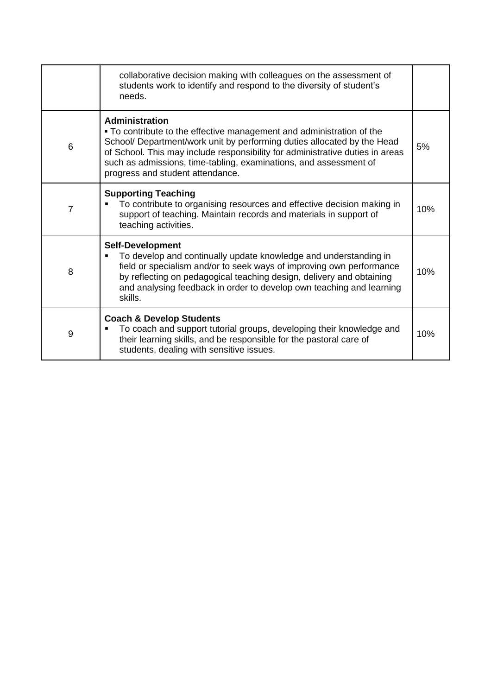|                 | collaborative decision making with colleagues on the assessment of<br>students work to identify and respond to the diversity of student's<br>needs.                                                                                                                                                                                                                 |     |
|-----------------|---------------------------------------------------------------------------------------------------------------------------------------------------------------------------------------------------------------------------------------------------------------------------------------------------------------------------------------------------------------------|-----|
| $6\phantom{1}6$ | <b>Administration</b><br>• To contribute to the effective management and administration of the<br>School/ Department/work unit by performing duties allocated by the Head<br>of School. This may include responsibility for administrative duties in areas<br>such as admissions, time-tabling, examinations, and assessment of<br>progress and student attendance. | 5%  |
| $\overline{7}$  | <b>Supporting Teaching</b><br>To contribute to organising resources and effective decision making in<br>support of teaching. Maintain records and materials in support of<br>teaching activities.                                                                                                                                                                   | 10% |
| 8               | <b>Self-Development</b><br>To develop and continually update knowledge and understanding in<br>field or specialism and/or to seek ways of improving own performance<br>by reflecting on pedagogical teaching design, delivery and obtaining<br>and analysing feedback in order to develop own teaching and learning<br>skills.                                      | 10% |
| 9               | <b>Coach &amp; Develop Students</b><br>To coach and support tutorial groups, developing their knowledge and<br>their learning skills, and be responsible for the pastoral care of<br>students, dealing with sensitive issues.                                                                                                                                       | 10% |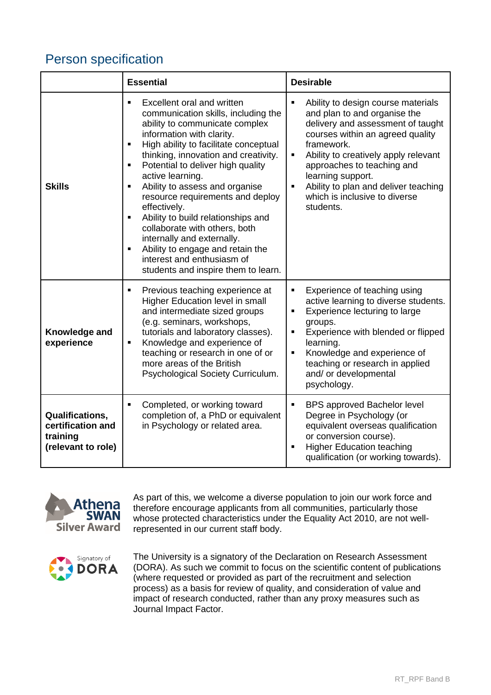## Person specification

|                                                                               | <b>Essential</b>                                                                                                                                                                                                                                                                                                                                                                                                                                                                                                                                                                                                                                                              | <b>Desirable</b>                                                                                                                                                                                                                                                                                                                                                                    |
|-------------------------------------------------------------------------------|-------------------------------------------------------------------------------------------------------------------------------------------------------------------------------------------------------------------------------------------------------------------------------------------------------------------------------------------------------------------------------------------------------------------------------------------------------------------------------------------------------------------------------------------------------------------------------------------------------------------------------------------------------------------------------|-------------------------------------------------------------------------------------------------------------------------------------------------------------------------------------------------------------------------------------------------------------------------------------------------------------------------------------------------------------------------------------|
| <b>Skills</b>                                                                 | Excellent oral and written<br>$\blacksquare$<br>communication skills, including the<br>ability to communicate complex<br>information with clarity.<br>High ability to facilitate conceptual<br>$\blacksquare$<br>thinking, innovation and creativity.<br>Potential to deliver high quality<br>$\blacksquare$<br>active learning.<br>Ability to assess and organise<br>٠<br>resource requirements and deploy<br>effectively.<br>Ability to build relationships and<br>$\blacksquare$<br>collaborate with others, both<br>internally and externally.<br>Ability to engage and retain the<br>$\blacksquare$<br>interest and enthusiasm of<br>students and inspire them to learn. | Ability to design course materials<br>п<br>and plan to and organise the<br>delivery and assessment of taught<br>courses within an agreed quality<br>framework.<br>Ability to creatively apply relevant<br>$\blacksquare$<br>approaches to teaching and<br>learning support.<br>Ability to plan and deliver teaching<br>$\blacksquare$<br>which is inclusive to diverse<br>students. |
| Knowledge and<br>experience                                                   | Previous teaching experience at<br>٠<br>Higher Education level in small<br>and intermediate sized groups<br>(e.g. seminars, workshops,<br>tutorials and laboratory classes).<br>Knowledge and experience of<br>٠<br>teaching or research in one of or<br>more areas of the British<br>Psychological Society Curriculum.                                                                                                                                                                                                                                                                                                                                                       | Experience of teaching using<br>active learning to diverse students.<br>Experience lecturing to large<br>٠<br>groups.<br>Experience with blended or flipped<br>п<br>learning.<br>Knowledge and experience of<br>$\blacksquare$<br>teaching or research in applied<br>and/ or developmental<br>psychology.                                                                           |
| <b>Qualifications.</b><br>certification and<br>training<br>(relevant to role) | Completed, or working toward<br>$\blacksquare$<br>completion of, a PhD or equivalent<br>in Psychology or related area.                                                                                                                                                                                                                                                                                                                                                                                                                                                                                                                                                        | $\blacksquare$<br><b>BPS approved Bachelor level</b><br>Degree in Psychology (or<br>equivalent overseas qualification<br>or conversion course).<br><b>Higher Education teaching</b><br>$\blacksquare$<br>qualification (or working towards).                                                                                                                                        |



As part of this, we welcome a diverse population to join our work force and therefore encourage applicants from all communities, particularly those whose protected characteristics under the Equality Act 2010, are not wellrepresented in our current staff body.



The University is a signatory of the Declaration on Research Assessment (DORA). As such we commit to focus on the scientific content of publications (where requested or provided as part of the recruitment and selection process) as a basis for review of quality, and consideration of value and impact of research conducted, rather than any proxy measures such as Journal Impact Factor.